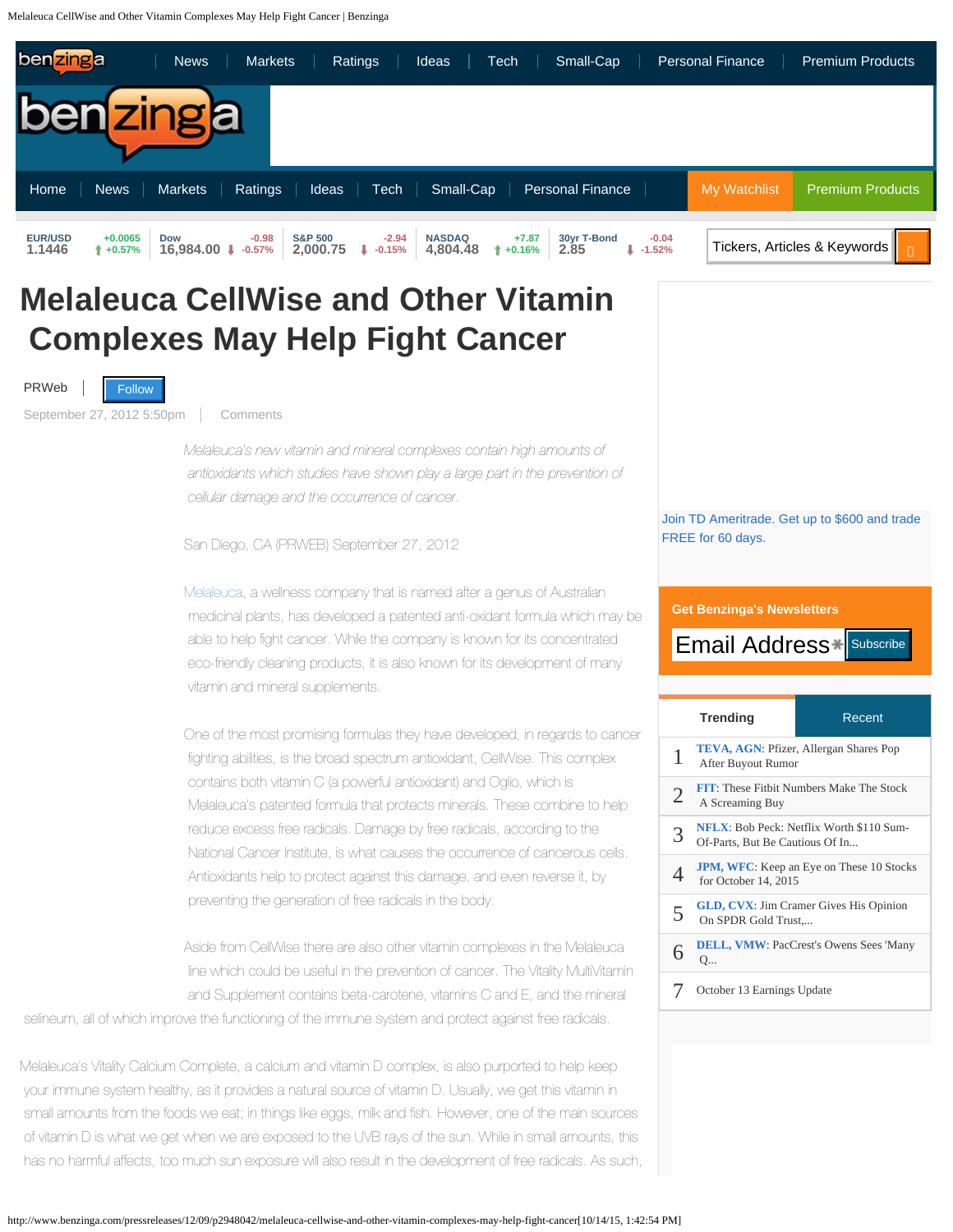Melaleuca CellWise and Other Vitamin Complexes May Help Fight Cancer | Benzinga

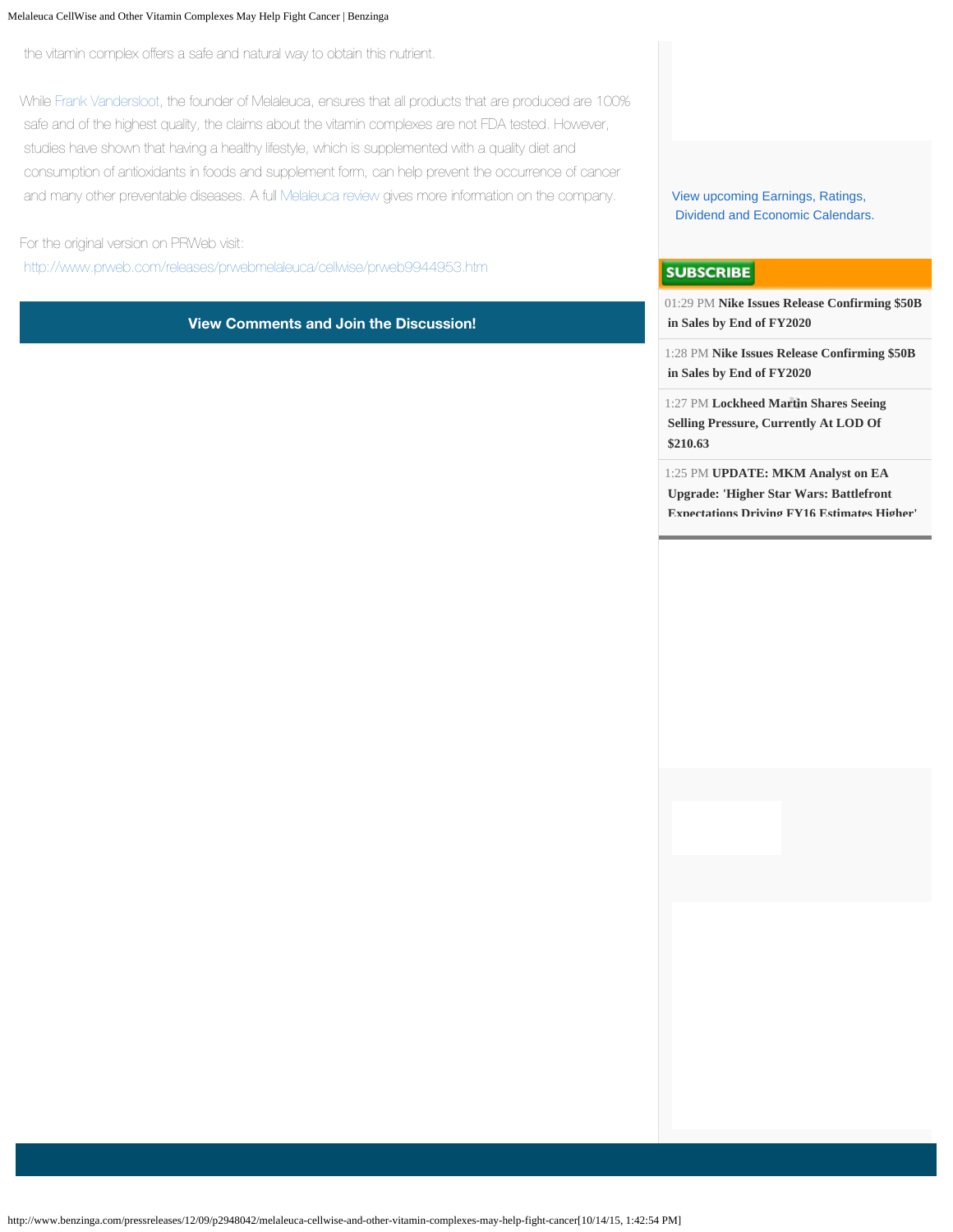## Melaleuca CellWise and Other Vitamin Complexes May Help Fight Cancer | Benzinga

the vitamin complex offers a safe and natural way to obtain this nutrient.

While [Frank Vandersloot](http://trustedhomebusinessreviews.com/melaleuca/), the founder of Melaleuca, ensures that all products that are produced are 100% safe and of the highest quality, the claims about the vitamin complexes are not FDA tested. However, studies have shown that having a healthy lifestyle, which is supplemented with a quality diet and consumption of antioxidants in foods and supplement form, can help prevent the occurrence of cancer and many other preventable diseases. A full [Melaleuca review](http://trustedhomebusinessreviews.com/melaleuca/) gives more information on the company.

For the original version on PRWeb visit:

<http://www.prweb.com/releases/prwebmelaleuca/cellwise/prweb9944953.htm>

**View Comments and Join the Discussion!**

[View upcoming Earnings, Ratings,](http://www.benzinga.com/calendar/earnings)  [Dividend and Economic Calendars.](http://www.benzinga.com/calendar/earnings)

## **SUBSCRIBE**

01:29 PM **[Nike Issues Release Confirming \\$50B](http://www.benzinga.com/news/15/10/5913274/nike-issues-release-confirming-50b-in-sales-by-end-of-fy2020)  [in Sales by End of FY2020](http://www.benzinga.com/news/15/10/5913274/nike-issues-release-confirming-50b-in-sales-by-end-of-fy2020)**

1:28 PM **[Nike Issues Release Confirming \\$50B](http://www.benzinga.com/news/15/10/5913271/nike-issues-release-confirming-50b-in-sales-by-end-of-fy2020)  [in Sales by End of FY2020](http://www.benzinga.com/news/15/10/5913271/nike-issues-release-confirming-50b-in-sales-by-end-of-fy2020)**

1:27 PM **[Lockheed Martin Shares Seeing](http://www.benzinga.com/movers/15/10/5913268/lockheed-martin-shares-seeing-selling-pressure-currently-at-lod-of-210-63)  [Selling Pressure, Currently At LOD Of](http://www.benzinga.com/movers/15/10/5913268/lockheed-martin-shares-seeing-selling-pressure-currently-at-lod-of-210-63)  [\\$210.63](http://www.benzinga.com/movers/15/10/5913268/lockheed-martin-shares-seeing-selling-pressure-currently-at-lod-of-210-63)**

1:25 PM **[UPDATE: MKM Analyst on EA](http://www.benzinga.com/analyst-ratings/analyst-color/15/10/5913266/update-mkm-analyst-on-ea-upgrade-higher-star-wars-battle)  [Upgrade: 'Higher Star Wars: Battlefront](http://www.benzinga.com/analyst-ratings/analyst-color/15/10/5913266/update-mkm-analyst-on-ea-upgrade-higher-star-wars-battle)  [Expectations Driving FY16 Estimates Higher'](http://www.benzinga.com/analyst-ratings/analyst-color/15/10/5913266/update-mkm-analyst-on-ea-upgrade-higher-star-wars-battle)**